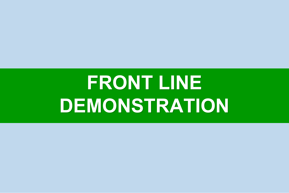## **FRONT LINE DEMONSTRATION**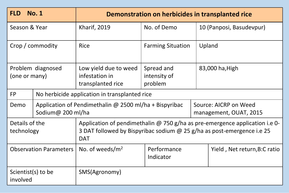| <b>FLD</b>                         | <b>No. 1</b>                                        |                                                                                                                                                                            | Demonstration on herbicides in transplanted rice |                                                 |                              |  |
|------------------------------------|-----------------------------------------------------|----------------------------------------------------------------------------------------------------------------------------------------------------------------------------|--------------------------------------------------|-------------------------------------------------|------------------------------|--|
|                                    | Season & Year<br>No. of Demo<br><b>Kharif, 2019</b> |                                                                                                                                                                            |                                                  |                                                 | 10 (Panposi, Basudevpur)     |  |
| Crop / commodity                   |                                                     | <b>Rice</b>                                                                                                                                                                | Upland<br><b>Farming Situation</b>               |                                                 |                              |  |
| Problem diagnosed<br>(one or many) |                                                     | Low yield due to weed<br>infestation in<br>transplanted rice                                                                                                               | Spread and<br>intensity of<br>problem            |                                                 | 83,000 ha, High              |  |
| <b>FP</b>                          |                                                     | No herbicide application in transplanted rice                                                                                                                              |                                                  |                                                 |                              |  |
| Demo                               | Sodium@ 200 ml/ha                                   | Application of Pendimethalin @ 2500 ml/ha + Bispyribac                                                                                                                     |                                                  | Source: AICRP on Weed<br>management, OUAT, 2015 |                              |  |
| Details of the<br>technology       |                                                     | Application of pendimethalin $\omega$ 750 g/ha as pre-emergence application i.e 0-<br>3 DAT followed by Bispyribac sodium @ 25 g/ha as post-emergence i.e 25<br><b>DAT</b> |                                                  |                                                 |                              |  |
| <b>Observation Parameters</b>      |                                                     | No. of weeds/ $m2$                                                                                                                                                         | Performance<br>Indicator                         |                                                 | Yield, Net return, B: Cratio |  |
| Scientist(s) to be<br>involved     |                                                     | SMS(Agronomy)                                                                                                                                                              |                                                  |                                                 |                              |  |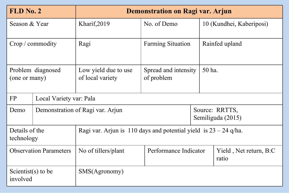| $FLD$ No. 2                    |                         | <b>Demonstration on Ragi var. Arjun</b>                            |                                    |                                     |                                   |  |
|--------------------------------|-------------------------|--------------------------------------------------------------------|------------------------------------|-------------------------------------|-----------------------------------|--|
| Season & Year                  |                         | Kharif, 2019                                                       | No. of Demo                        |                                     | 10 (Kundhei, Kaberiposi)          |  |
| Crop / commodity               |                         | Ragi                                                               | <b>Farming Situation</b>           |                                     | Rainfed upland                    |  |
| (one or many)                  | Problem diagnosed       | Low yield due to use<br>of local variety                           | Spread and intensity<br>of problem | 50 ha.                              |                                   |  |
| <b>FP</b>                      | Local Variety var: Pala |                                                                    |                                    |                                     |                                   |  |
| Demo                           |                         | Demonstration of Ragi var. Arjun                                   |                                    | Source: RRTTS,<br>Semiliguda (2015) |                                   |  |
| Details of the<br>technology   |                         | Ragi var. Arjun is 110 days and potential yield is $23 - 24$ q/ha. |                                    |                                     |                                   |  |
| <b>Observation Parameters</b>  |                         | No of tillers/plant                                                | Performance Indicator              |                                     | Yield, Net return, $B:C$<br>ratio |  |
| Scientist(s) to be<br>involved |                         | SMS(Agronomy)                                                      |                                    |                                     |                                   |  |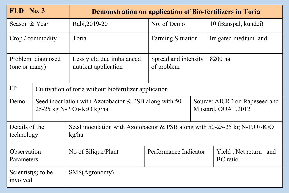| $FLD$ No. 3                    |                   | <b>Demonstration on application of Bio-fertilizers in Toria</b>                                                           |                                                                                                                |  |                                          |
|--------------------------------|-------------------|---------------------------------------------------------------------------------------------------------------------------|----------------------------------------------------------------------------------------------------------------|--|------------------------------------------|
| Season & Year                  |                   | Rabi, 2019-20                                                                                                             | No. of Demo                                                                                                    |  | 10 (Banspal, kundei)                     |
| Crop / commodity               |                   | Toria                                                                                                                     | <b>Farming Situation</b>                                                                                       |  | Irrigated medium land                    |
| (one or many)                  | Problem diagnosed | Less yield due imbalanced<br>nutrient application                                                                         | Spread and intensity<br>of problem                                                                             |  | 8200 ha                                  |
| <b>FP</b>                      |                   | Cultivation of toria without biofertilizer application                                                                    |                                                                                                                |  |                                          |
| Demo                           |                   | 25-25 kg N-P <sub>2</sub> O <sub>5</sub> -K <sub>2</sub> O kg/ha                                                          | Source: AICRP on Rapeseed and<br>Seed inoculation with Azotobactor & PSB along with 50-<br>Mustard, OUAT, 2012 |  |                                          |
| Details of the<br>technology   |                   | Seed inoculation with Azotobactor & PSB along with 50-25-25 kg N-P <sub>2</sub> O <sub>5</sub> -K <sub>2</sub> O<br>kg/ha |                                                                                                                |  |                                          |
| Observation<br>Parameters      |                   | No of Silique/Plant                                                                                                       | Performance Indicator                                                                                          |  | Yield, Net return and<br><b>BC</b> ratio |
| Scientist(s) to be<br>involved |                   | SMS(Agronomy)                                                                                                             |                                                                                                                |  |                                          |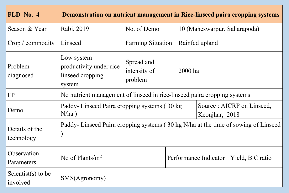| FLD No. 4                      | Demonstration on nutrient management in Rice-linseed paira cropping systems |                                                                                    |  |                                              |                  |  |
|--------------------------------|-----------------------------------------------------------------------------|------------------------------------------------------------------------------------|--|----------------------------------------------|------------------|--|
| Season & Year                  | Rabi, 2019                                                                  | No. of Demo                                                                        |  | 10 (Maheswarpur, Saharapoda)                 |                  |  |
| Crop / commodity               | Linseed                                                                     | <b>Farming Situation</b>                                                           |  | Rainfed upland                               |                  |  |
| Problem<br>diagnosed           | Low system<br>productivity under rice-<br>linseed cropping<br>system        | Spread and<br>intensity of<br>problem                                              |  | $2000$ ha                                    |                  |  |
| <b>FP</b>                      | No nutrient management of linseed in rice-linseed pair acropping systems    |                                                                                    |  |                                              |                  |  |
| Demo                           | Paddy-Linseed Paira cropping systems (30 kg)<br>$N/ha$ )                    |                                                                                    |  | Source : AICRP on Linseed,<br>Keonjhar, 2018 |                  |  |
| Details of the<br>technology   |                                                                             | Paddy- Linseed Paira cropping systems (30 kg N/ha at the time of sowing of Linseed |  |                                              |                  |  |
| Observation<br>Parameters      | No of Plants/ $m^2$                                                         |                                                                                    |  | Performance Indicator                        | Yield, B:C ratio |  |
| Scientist(s) to be<br>involved | SMS(Agronomy)                                                               |                                                                                    |  |                                              |                  |  |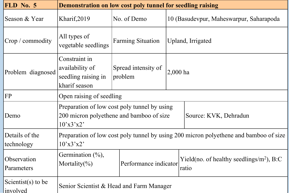| FLD No. 5                       |                                                                          | Demonstration on low cost poly tunnel for seedling raising                               |                                         |                                                                                       |  |
|---------------------------------|--------------------------------------------------------------------------|------------------------------------------------------------------------------------------|-----------------------------------------|---------------------------------------------------------------------------------------|--|
| Season & Year                   | Kharif, 2019                                                             | No. of Demo                                                                              | 10 (Basudevpur, Maheswarpur, Saharapoda |                                                                                       |  |
| Crop / commodity                | All types of<br>vegetable seedlings                                      | <b>Farming Situation</b>                                                                 | Upland, Irrigated                       |                                                                                       |  |
| Problem diagnosed               | Constraint in<br>availability of<br>seedling raising in<br>kharif season | Spread intensity of<br>problem                                                           | 2,000 ha                                |                                                                                       |  |
| <b>FP</b>                       | Open raising of seedling                                                 |                                                                                          |                                         |                                                                                       |  |
| Demo                            | $10^{\circ}$ x3'x2'                                                      | Preparation of low cost poly tunnel by using<br>200 micron polyethene and bamboo of size |                                         | Source: KVK, Dehradun                                                                 |  |
| Details of the<br>technology    | $10^{\circ}x3^{\circ}x2^{\circ}$                                         |                                                                                          |                                         | Preparation of low cost poly tunnel by using 200 micron polyethene and bamboo of size |  |
| Observation<br>Parameters       | Germination $(\%),$<br>Mortality $(\%)$                                  | Performance indicator                                                                    |                                         | Yield(no. of healthy seedlings/m <sup>2</sup> ), B:C<br>ratio                         |  |
| Scientist(s) to be<br>linvolved | Senior Scientist & Head and Farm Manager                                 |                                                                                          |                                         |                                                                                       |  |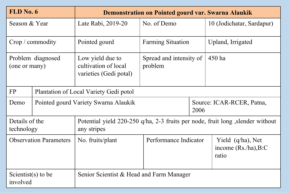| FLD No. 6                      |                   | <b>Demonstration on Pointed gourd var. Swarna Alaukik</b>                                     |                                    |  |                                                           |  |
|--------------------------------|-------------------|-----------------------------------------------------------------------------------------------|------------------------------------|--|-----------------------------------------------------------|--|
| Season & Year                  |                   | Late Rabi, 2019-20                                                                            | No. of Demo                        |  | 10 (Jodichatar, Sardapur)                                 |  |
| Crop / commodity               |                   | Pointed gourd                                                                                 | <b>Farming Situation</b>           |  | Upland, Irrigated                                         |  |
| (one or many)                  | Problem diagnosed | Low yield due to<br>cultivation of local<br>varieties (Gedi potal)                            | Spread and intensity of<br>problem |  | 450 ha                                                    |  |
| FP                             |                   | Plantation of Local Variety Gedi potol                                                        |                                    |  |                                                           |  |
| Demo                           |                   | Pointed gourd Variety Swarna Alaukik<br>2006                                                  |                                    |  | Source: ICAR-RCER, Patna,                                 |  |
| Details of the<br>technology   |                   | Potential yield 220-250 q/ha, 2-3 fruits per node, fruit long, slender without<br>any stripes |                                    |  |                                                           |  |
| <b>Observation Parameters</b>  |                   | No. fruits/plant                                                                              | Performance Indicator              |  | Yield $(q/ha)$ , Net<br>income $(Rs/ha)$ , $B:C$<br>ratio |  |
| Scientist(s) to be<br>involved |                   | Senior Scientist & Head and Farm Manager                                                      |                                    |  |                                                           |  |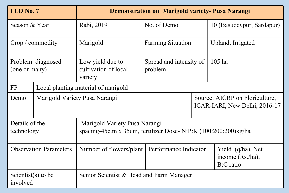| FLD No. 7                         | <b>Demonstration on Marigold variety- Pusa Narangi</b> |                                                                                                     |                                                        |  |                                                                 |  |
|-----------------------------------|--------------------------------------------------------|-----------------------------------------------------------------------------------------------------|--------------------------------------------------------|--|-----------------------------------------------------------------|--|
| Season & Year                     |                                                        | Rabi, 2019                                                                                          | No. of Demo                                            |  | 10 (Basudevpur, Sardapur)                                       |  |
| Crop / commodity                  |                                                        | Marigold                                                                                            | <b>Farming Situation</b>                               |  | Upland, Irrigated                                               |  |
| (one or many)                     | Problem diagnosed                                      | Low yield due to<br>cultivation of local<br>variety                                                 | Spread and intensity of<br>problem                     |  | $105$ ha                                                        |  |
| <b>FP</b>                         |                                                        | Local planting material of marigold                                                                 |                                                        |  |                                                                 |  |
| Demo                              |                                                        | Marigold Variety Pusa Narangi                                                                       |                                                        |  | Source: AICRP on Floriculture,<br>ICAR-IARI, New Delhi, 2016-17 |  |
| Details of the<br>technology      |                                                        | Marigold Variety Pusa Narangi<br>spacing-45c.m x 35cm, fertilizer Dose- N:P:K $(100:200:200)$ kg/ha |                                                        |  |                                                                 |  |
| <b>Observation Parameters</b>     |                                                        | Number of flowers/plant                                                                             | Performance Indicator<br>income (Rs./ha),<br>B:C ratio |  | Yield $(q/ha)$ , Net                                            |  |
| Scientist $(s)$ to be<br>involved |                                                        | Senior Scientist & Head and Farm Manager                                                            |                                                        |  |                                                                 |  |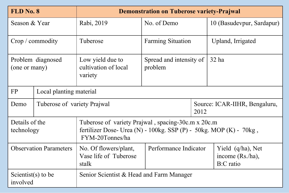| FLD No. 8                      |                             | <b>Demonstration on Tuberose variety-Prajwal</b>                                                                                                                          |                                                                                       |                                       |                           |  |         |
|--------------------------------|-----------------------------|---------------------------------------------------------------------------------------------------------------------------------------------------------------------------|---------------------------------------------------------------------------------------|---------------------------------------|---------------------------|--|---------|
| Season & Year                  |                             | Rabi, 2019                                                                                                                                                                | No. of Demo                                                                           |                                       | 10 (Basudevpur, Sardapur) |  |         |
| Crop / commodity               |                             | Tuberose                                                                                                                                                                  | <b>Farming Situation</b>                                                              |                                       | Upland, Irrigated         |  |         |
| (one or many)                  | Problem diagnosed           | Low yield due to<br>cultivation of local<br>variety                                                                                                                       | Spread and intensity of<br>problem                                                    |                                       |                           |  | $32$ ha |
| <b>FP</b>                      | Local planting material     |                                                                                                                                                                           |                                                                                       |                                       |                           |  |         |
| Demo                           | Tuberose of variety Prajwal |                                                                                                                                                                           |                                                                                       | Source: ICAR-IIHR, Bengaluru,<br>2012 |                           |  |         |
| Details of the<br>technology   |                             | Tuberose of variety Prajwal, spacing-30c.m x 20c.m<br>fertilizer Dose- Urea (N) - $100\text{kg}$ . SSP (P) - $50\text{kg}$ . MOP (K) - $70\text{kg}$ ,<br>FYM-20Tonnes/ha |                                                                                       |                                       |                           |  |         |
| <b>Observation Parameters</b>  |                             | No. Of flowers/plant,<br>Vase life of Tuberose<br>stalk                                                                                                                   | Performance Indicator<br>Yield $(q/ha)$ , Net<br>income (Rs./ha),<br><b>B:C</b> ratio |                                       |                           |  |         |
| Scientist(s) to be<br>involved |                             | Senior Scientist & Head and Farm Manager                                                                                                                                  |                                                                                       |                                       |                           |  |         |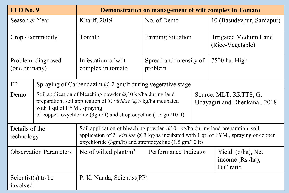| FLD No. 9                      |                             | <b>Demonstration on management of wilt complex in Tomato</b>                                                                                                                                                                               |                                    |  |                                                         |  |  |
|--------------------------------|-----------------------------|--------------------------------------------------------------------------------------------------------------------------------------------------------------------------------------------------------------------------------------------|------------------------------------|--|---------------------------------------------------------|--|--|
| Season & Year                  |                             | <b>Kharif</b> , 2019                                                                                                                                                                                                                       | No. of Demo                        |  | 10 (Basudevpur, Sardapur)                               |  |  |
| Crop / commodity               |                             | Tomato                                                                                                                                                                                                                                     | <b>Farming Situation</b>           |  | <b>Irrigated Medium Land</b><br>(Rice-Vegetable)        |  |  |
| (one or many)                  | Problem diagnosed           | Infestation of wilt<br>complex in tomato                                                                                                                                                                                                   | Spread and intensity of<br>problem |  | 7500 ha, High                                           |  |  |
| <b>FP</b>                      |                             | Spraying of Carbendazim $\omega$ 2 gm/lt during vegetative stage                                                                                                                                                                           |                                    |  |                                                         |  |  |
| Demo                           | with 1 qtl of FYM, spraying | Soil application of bleaching powder $\omega(10 \text{ kg/ha during land})$<br>preparation, soil application of T. viridae $@$ 3 kg/ha incubated<br>of copper oxychloride $(3gm/lt)$ and streptocycline $(1.5 gm/10 lt)$                   |                                    |  | Source: MLT, RRTTS, G.<br>Udayagiri and Dhenkanal, 2018 |  |  |
| Details of the<br>technology   |                             | Soil application of bleaching powder $@10$ kg/ha during land preparation, soil<br>application of T. Viridae $\omega$ 3 kg/ha incubated with 1 qtl of FYM, spraying of copper<br>oxychloride $(3gm/lt)$ and streptocycline $(1.5 gm/l0 lt)$ |                                    |  |                                                         |  |  |
| <b>Observation Parameters</b>  |                             | No of wilted plant/ $m^2$                                                                                                                                                                                                                  | Performance Indicator<br>B:C ratio |  | Yield $(q/ha)$ , Net<br>income (Rs./ha),                |  |  |
| Scientist(s) to be<br>involved |                             | P. K. Nanda, Scientist(PP)                                                                                                                                                                                                                 |                                    |  |                                                         |  |  |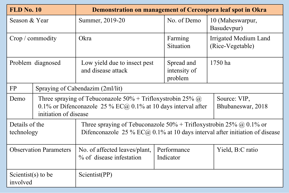| <b>FLD No. 10</b>              |                       | Demonstration on management of Cercospora leaf spot in Okra                                                                                                                |                                              |                                                  |  |  |
|--------------------------------|-----------------------|----------------------------------------------------------------------------------------------------------------------------------------------------------------------------|----------------------------------------------|--------------------------------------------------|--|--|
| Season & Year                  |                       | Summer, 2019-20                                                                                                                                                            | No. of Demo                                  | 10 (Maheswarpur,<br>Basudevpur)                  |  |  |
| Crop / commodity               |                       | Okra                                                                                                                                                                       | Farming<br><b>Situation</b>                  | <b>Irrigated Medium Land</b><br>(Rice-Vegetable) |  |  |
| Problem diagnosed              |                       | Low yield due to insect pest<br>and disease attack                                                                                                                         | Spread and<br>intensity of<br>problem        | 1750 ha                                          |  |  |
| <b>FP</b>                      |                       | Spraying of Cabendazim (2ml/lit)                                                                                                                                           |                                              |                                                  |  |  |
| Demo                           | initiation of disease | Three spraying of Tebuconazole $50\%$ + Trifloxystrobin 25% $\omega$<br>Source: VIP,<br>0.1% or Difenconazole 25 % EC@ 0.1% at 10 days interval after<br>Bhubaneswar, 2018 |                                              |                                                  |  |  |
| Details of the<br>technology   |                       | Three spraying of Tebuconazole $50\%$ + Trifloxystrobin 25% @ 0.1% or<br>Difenconazole 25 % $EC@$ 0.1% at 10 days interval after initiation of disease                     |                                              |                                                  |  |  |
| <b>Observation Parameters</b>  |                       | No. of affected leaves/plant,<br>% of disease infestation                                                                                                                  | Performance<br>Yield, B:C ratio<br>Indicator |                                                  |  |  |
| Scientist(s) to be<br>involved |                       | Scientist(PP)                                                                                                                                                              |                                              |                                                  |  |  |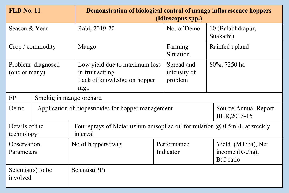| <b>FLD No. 11</b>                  |                         | <b>Demonstration of biological control of mango inflorescence hoppers</b><br>(Idioscopus spp.) |                                                                                  |                                                     |  |  |
|------------------------------------|-------------------------|------------------------------------------------------------------------------------------------|----------------------------------------------------------------------------------|-----------------------------------------------------|--|--|
| Season & Year                      |                         | Rabi, 2019-20                                                                                  | No. of Demo                                                                      | 10 (Balabhdrapur,<br>Suakathi)                      |  |  |
|                                    | Crop / commodity        | Mango                                                                                          | Farming<br>Situation                                                             | Rainfed upland                                      |  |  |
| Problem diagnosed<br>(one or many) |                         | Low yield due to maximum loss<br>in fruit setting.<br>Lack of knowledge on hopper<br>mgt.      | Spread and<br>intensity of<br>problem                                            | 80%, 7250 ha                                        |  |  |
| <b>FP</b>                          | Smokig in mango orchard |                                                                                                |                                                                                  |                                                     |  |  |
| Demo                               |                         | Application of biopesticides for hopper management                                             |                                                                                  | Source: Annual Report-<br>IIHR, 2015-16             |  |  |
| Details of the<br>technology       |                         | interval                                                                                       | Four sprays of Metarhizium anisopliae oil formulation $\omega$ 0.5ml/L at weekly |                                                     |  |  |
| Observation<br>Parameters          |                         | No of hoppers/twig                                                                             | Performance<br>Indicator                                                         | Yield (MT/ha), Net<br>income (Rs./ha),<br>B:C ratio |  |  |
| Scientist(s) to be<br>involved     |                         | Scientist(PP)                                                                                  |                                                                                  |                                                     |  |  |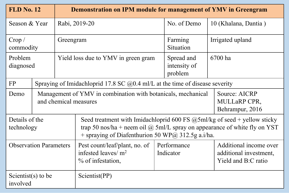| <b>FLD No. 12</b>              |  |           | Demonstration on IPM module for management of YMV in Greengram                                                                                                                                                     |                                                  |                                                                         |  |  |
|--------------------------------|--|-----------|--------------------------------------------------------------------------------------------------------------------------------------------------------------------------------------------------------------------|--------------------------------------------------|-------------------------------------------------------------------------|--|--|
| Season & Year                  |  |           | Rabi, 2019-20                                                                                                                                                                                                      | No. of Demo                                      | 10 (Khalana, Dantia)                                                    |  |  |
| Crop /<br>commodity            |  | Greengram |                                                                                                                                                                                                                    | Farming<br>Situation                             | Irrigated upland                                                        |  |  |
| Problem<br>diagnosed           |  |           | Yield loss due to YMV in green gram                                                                                                                                                                                | Spread and<br>intensity of<br>problem            | 6700 ha                                                                 |  |  |
| <b>FP</b>                      |  |           | Spraying of Imidachloprid 17.8 SC $(20.4 \text{ ml/L})$ at the time of disease severity                                                                                                                            |                                                  |                                                                         |  |  |
| Demo                           |  |           | Management of YMV in combination with botanicals, mechanical<br>and chemical measures                                                                                                                              | Source: AICRP<br>MULLaRP CPR,<br>Behrampur, 2016 |                                                                         |  |  |
| Details of the<br>technology   |  |           | Seed treatment with Imidachloprid 600 FS $\omega$ 5ml/kg of seed + yellow sticky<br>trap 50 nos/ha + neem oil @ 5ml/L spray on appearance of white fly on YST<br>+ spraying of Diafenthurion 50 WP@ 312.5g a.i/ha. |                                                  |                                                                         |  |  |
| <b>Observation Parameters</b>  |  |           | Pest count/leaf/plant, no. of<br>infested leaves/ m <sup>2</sup><br>% of infestation,                                                                                                                              | Performance<br>Indicator                         | Additional income over<br>additional investment,<br>Yield and B:C ratio |  |  |
| Scientist(s) to be<br>involved |  |           | Scientist(PP)                                                                                                                                                                                                      |                                                  |                                                                         |  |  |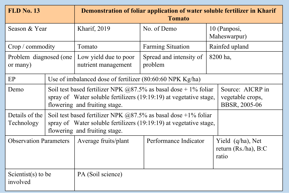| <b>FLD No. 13</b>                   |                                                                                                                                                                           | Demonstration of foliar application of water soluble fertilizer in Kharif<br><b>Tomato</b>                                                                               |                                                                     |                |                                                         |  |
|-------------------------------------|---------------------------------------------------------------------------------------------------------------------------------------------------------------------------|--------------------------------------------------------------------------------------------------------------------------------------------------------------------------|---------------------------------------------------------------------|----------------|---------------------------------------------------------|--|
| Season & Year                       |                                                                                                                                                                           | <b>Kharif</b> , 2019                                                                                                                                                     | No. of Demo                                                         |                | 10 (Panposi,<br>Maheswarpur)                            |  |
| Crop / commodity                    |                                                                                                                                                                           | Tomato                                                                                                                                                                   | <b>Farming Situation</b>                                            | Rainfed upland |                                                         |  |
| Problem diagnosed (one)<br>or many) |                                                                                                                                                                           | Low yield due to poor<br>nutrient management                                                                                                                             | Spread and intensity of<br>8200 ha,<br>problem                      |                |                                                         |  |
| EP                                  |                                                                                                                                                                           |                                                                                                                                                                          | Use of imbalanced dose of fertilizer $(80:60:60 \text{ NPK Kg/ha})$ |                |                                                         |  |
| Demo                                | Soil test based fertilizer NPK $@87.5\%$ as basal dose + 1% foliar<br>spray of Water soluble fertilizers (19:19:19) at vegetative stage,<br>flowering and fruiting stage. |                                                                                                                                                                          |                                                                     |                | Source: AICRP in<br>vegetable crops,<br>BBSR, 2005-06   |  |
| Details of the<br>Technology        |                                                                                                                                                                           | Soil test based fertilizer NPK $@87.5\%$ as basal dose +1% foliar<br>spray of Water soluble fertilizers (19:19:19) at vegetative stage,<br>flowering and fruiting stage. |                                                                     |                |                                                         |  |
| <b>Observation Parameters</b>       |                                                                                                                                                                           | Average fruits/plant                                                                                                                                                     | Performance Indicator                                               |                | Yield $(q/ha)$ , Net<br>return $(Rs/ha)$ , B:C<br>ratio |  |
| Scientist(s) to be<br>involved      |                                                                                                                                                                           | PA (Soil science)                                                                                                                                                        |                                                                     |                |                                                         |  |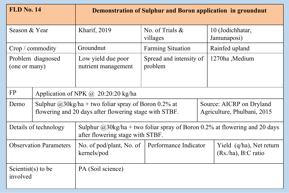| <b>FLD No. 14</b>              |                       | <b>Demonstration of Sulphur and Boron application in groundnut</b>                                                                                                                 |                                                                                |  |                                                                                     |  |  |
|--------------------------------|-----------------------|------------------------------------------------------------------------------------------------------------------------------------------------------------------------------------|--------------------------------------------------------------------------------|--|-------------------------------------------------------------------------------------|--|--|
| Season & Year                  |                       | <b>Kharif</b> , 2019                                                                                                                                                               | No. of Trials $\&$<br>villages                                                 |  | 10 (Jodichhatar,<br>Jamunaposi)                                                     |  |  |
| Crop / commodity               |                       | Groundnut                                                                                                                                                                          | <b>Farming Situation</b>                                                       |  | Rainfed upland                                                                      |  |  |
| (one or many)                  | Problem diagnosed     | Low yield due poor<br>nutrient management                                                                                                                                          | Spread and intensity of<br>problem                                             |  | 1270ha, Medium                                                                      |  |  |
| <b>FP</b>                      |                       | Application of NPK @ 20:20:20 kg/ha                                                                                                                                                |                                                                                |  |                                                                                     |  |  |
| Demo                           |                       | Sulphur $\omega/20$ kg/ha + two foliar spray of Boron 0.2% at<br>Source: AICRP on Dryland<br>flowering and 20 days after flowering stage with STBF.<br>Agriculture, Phulbani, 2015 |                                                                                |  |                                                                                     |  |  |
|                                | Details of technology | after flowering stage with STBF.                                                                                                                                                   |                                                                                |  | Sulphur $\omega/20$ kg/ha + two foliar spray of Boron 0.2% at flowering and 20 days |  |  |
| <b>Observation Parameters</b>  |                       | No. of pod/plant, No. of<br>kernels/pod                                                                                                                                            | Performance Indicator<br>Yield $(q/ha)$ , Net return<br>$(Rs$ ./ha), B:C ratio |  |                                                                                     |  |  |
| Scientist(s) to be<br>involved |                       | PA (Soil science)                                                                                                                                                                  |                                                                                |  |                                                                                     |  |  |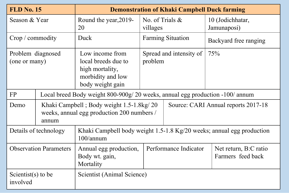| <b>FLD No. 15</b>                  |                       |                                                                                                                               |                                    | <b>Demonstration of Khaki Campbell Duck farming</b> |                                            |
|------------------------------------|-----------------------|-------------------------------------------------------------------------------------------------------------------------------|------------------------------------|-----------------------------------------------------|--------------------------------------------|
| Season & Year                      |                       | Round the year, 2019-<br>20                                                                                                   | No. of Trials $\&$<br>villages     |                                                     | 10 (Jodichhatar,<br>Jamunaposi)            |
| Crop / commodity                   |                       | Duck                                                                                                                          | <b>Farming Situation</b>           |                                                     | Backyard free ranging                      |
| Problem diagnosed<br>(one or many) |                       | Low income from<br>local breeds due to<br>high mortality,<br>morbidity and low<br>body weight gain                            | Spread and intensity of<br>problem |                                                     | 75%                                        |
| <b>FP</b>                          |                       | Local breed Body weight 800-900g/ 20 weeks, annual egg production -100/ annum                                                 |                                    |                                                     |                                            |
| Demo                               | annum                 | Khaki Campbell; Body weight 1.5-1.8kg/20<br>Source: CARI Annual reports 2017-18<br>weeks, annual egg production 200 numbers / |                                    |                                                     |                                            |
|                                    | Details of technology | Khaki Campbell body weight 1.5-1.8 Kg/20 weeks; annual egg production<br>100/annum                                            |                                    |                                                     |                                            |
| <b>Observation Parameters</b>      |                       | Annual egg production,<br>Body wt. gain,<br>Mortality                                                                         | Performance Indicator              |                                                     | Net return, B:C ratio<br>Farmers feed back |
| Scientist $(s)$ to be<br>involved  |                       | Scientist (Animal Science)                                                                                                    |                                    |                                                     |                                            |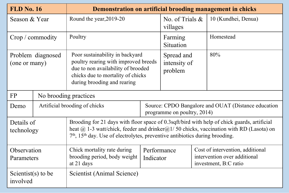| <b>FLD No. 16</b>                  |  |                                                                                                                                                                                                                                                                                                               |                                                                                    |                                       | Demonstration on artificial brooding management in chicks                                 |
|------------------------------------|--|---------------------------------------------------------------------------------------------------------------------------------------------------------------------------------------------------------------------------------------------------------------------------------------------------------------|------------------------------------------------------------------------------------|---------------------------------------|-------------------------------------------------------------------------------------------|
| Season & Year                      |  | Round the year, 2019-20                                                                                                                                                                                                                                                                                       |                                                                                    | No. of Trials $\&$<br>villages        | 10 (Kundhei, Denua)                                                                       |
| Crop / commodity                   |  | Poultry                                                                                                                                                                                                                                                                                                       |                                                                                    | Farming<br>Situation                  | Homestead                                                                                 |
| Problem diagnosed<br>(one or many) |  | Poor sustainability in backyard<br>poultry rearing with improved breeds<br>due to non availability of brooded<br>chicks due to mortality of chicks<br>during brooding and rearing                                                                                                                             |                                                                                    | Spread and<br>intensity of<br>problem | 80%                                                                                       |
| FP                                 |  | No brooding practices                                                                                                                                                                                                                                                                                         |                                                                                    |                                       |                                                                                           |
| Demo                               |  | Artificial brooding of chicks                                                                                                                                                                                                                                                                                 | Source: CPDO Bangalore and OUAT (Distance education<br>programme on poultry, 2014) |                                       |                                                                                           |
| Details of<br>technology           |  | Brooding for 21 days with floor space of 0.3sqft/bird with help of chick guards, artificial<br>heat $\omega$ 1-3 watt/chick, feeder and drinker $\omega$ 1/50 chicks, vaccination with RD (Lasota) on<br>7 <sup>th</sup> , 15 <sup>th</sup> day. Use of electrolytes, preventive antibiotics during brooding. |                                                                                    |                                       |                                                                                           |
| Observation<br>Parameters          |  | Chick mortality rate during<br>brooding period, body weight<br>at 21 days                                                                                                                                                                                                                                     | Performance<br>Indicator                                                           |                                       | Cost of intervention, additional<br>intervention over additional<br>investment, B:C ratio |
| Scientist(s) to be<br>involved     |  | Scientist (Animal Science)                                                                                                                                                                                                                                                                                    |                                                                                    |                                       |                                                                                           |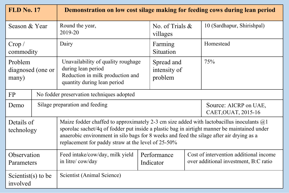| <b>FLD No. 17</b>                                            |                                                                                                                                                                                                                                                                                                                                                                          | Demonstration on low cost silage making for feeding cows during lean period                                                 |                                       |  |                                                                                 |  |  |
|--------------------------------------------------------------|--------------------------------------------------------------------------------------------------------------------------------------------------------------------------------------------------------------------------------------------------------------------------------------------------------------------------------------------------------------------------|-----------------------------------------------------------------------------------------------------------------------------|---------------------------------------|--|---------------------------------------------------------------------------------|--|--|
| Season & Year                                                |                                                                                                                                                                                                                                                                                                                                                                          | Round the year,<br>2019-20                                                                                                  | No. of Trials $\&$<br>villages        |  | 10 (Sardhapur, Shirishpal)                                                      |  |  |
| Crop /<br>commodity                                          |                                                                                                                                                                                                                                                                                                                                                                          | Dairy                                                                                                                       | Farming<br>Situation                  |  | Homestead                                                                       |  |  |
| Problem<br>diagnosed (one or<br>many)                        |                                                                                                                                                                                                                                                                                                                                                                          | Unavailability of quality roughage<br>during lean period<br>Reduction in milk production and<br>quantity during lean period | Spread and<br>intensity of<br>problem |  | 75%                                                                             |  |  |
| <b>FP</b>                                                    |                                                                                                                                                                                                                                                                                                                                                                          | No fodder preservation techniques adopted                                                                                   |                                       |  |                                                                                 |  |  |
| Demo                                                         |                                                                                                                                                                                                                                                                                                                                                                          | Silage preparation and feeding                                                                                              |                                       |  | Source: AICRP on UAE,<br>CAET, OUAT, 2015-16                                    |  |  |
|                                                              | Maize fodder chaffed to approximately 2-3 cm size added with lactobacillus inoculants $@1$<br>Details of<br>sporolac sachet/4q of fodder put inside a plastic bag in airtight manner be maintained under<br>technology<br>anaerobic environment in silo bags for 8 weeks and feed the silage after air drying as a<br>replacement for paddy straw at the level of 25-50% |                                                                                                                             |                                       |  |                                                                                 |  |  |
| Observation<br>Parameters                                    |                                                                                                                                                                                                                                                                                                                                                                          | Feed intake/cow/day, milk yield<br>in litre/cow/day                                                                         | Performance<br>Indicator              |  | Cost of intervention additional income<br>over additional investment, B:C ratio |  |  |
| Scientist (Animal Science)<br>Scientist(s) to be<br>involved |                                                                                                                                                                                                                                                                                                                                                                          |                                                                                                                             |                                       |  |                                                                                 |  |  |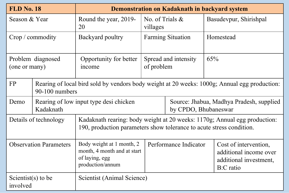| <b>FLD No. 18</b>                                                                                                                                                          |                | <b>Demonstration on Kadaknath in backyard system</b>                                           |                                    |  |                                                                                        |  |
|----------------------------------------------------------------------------------------------------------------------------------------------------------------------------|----------------|------------------------------------------------------------------------------------------------|------------------------------------|--|----------------------------------------------------------------------------------------|--|
| Season & Year                                                                                                                                                              |                | Round the year, 2019-<br>20                                                                    | No. of Trials $\&$<br>villages     |  | Basudevpur, Shirishpal                                                                 |  |
| Crop / commodity                                                                                                                                                           |                | Backyard poultry                                                                               | <b>Farming Situation</b>           |  | Homestead                                                                              |  |
| Problem diagnosed<br>(one or many)                                                                                                                                         |                | Opportunity for better<br>income                                                               | Spread and intensity<br>of problem |  | 65%                                                                                    |  |
| <b>FP</b>                                                                                                                                                                  | 90-100 numbers | Rearing of local bird sold by vendors body weight at 20 weeks: 1000g; Annual egg production:   |                                    |  |                                                                                        |  |
| Demo                                                                                                                                                                       | Kadaknath      | Rearing of low input type desi chicken<br>by CPDO, Bhubaneswar                                 |                                    |  | Source: Jhabua, Madhya Pradesh, supplied                                               |  |
| Details of technology<br>Kadaknath rearing: body weight at 20 weeks: 1170g; Annual egg production:<br>190, production parameters show tolerance to acute stress condition. |                |                                                                                                |                                    |  |                                                                                        |  |
| <b>Observation Parameters</b>                                                                                                                                              |                | Body weight at 1 month, 2<br>month, 4 month and at start<br>of laying, egg<br>production/annum | Performance Indicator              |  | Cost of intervention,<br>additional income over<br>additional investment,<br>B:C ratio |  |
| Scientist(s) to be<br>involved                                                                                                                                             |                | Scientist (Animal Science)                                                                     |                                    |  |                                                                                        |  |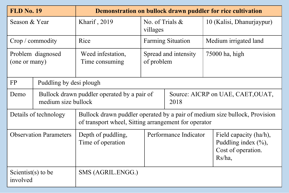| <b>FLD No. 19</b>              |                                                                                                                 |                                                                                                                                    |                                |                | Demonstration on bullock drawn puddler for rice cultivation                      |  |
|--------------------------------|-----------------------------------------------------------------------------------------------------------------|------------------------------------------------------------------------------------------------------------------------------------|--------------------------------|----------------|----------------------------------------------------------------------------------|--|
| Season & Year                  |                                                                                                                 | Kharif, 2019                                                                                                                       | No. of Trials $\&$<br>villages |                | 10 (Kalisi, Dhanurjaypur)                                                        |  |
| Crop / commodity               |                                                                                                                 | Rice                                                                                                                               | <b>Farming Situation</b>       |                | Medium irrigated land                                                            |  |
|                                | Problem diagnosed<br>Weed infestation,<br>Spread and intensity<br>of problem<br>(one or many)<br>Time consuming |                                                                                                                                    |                                | 75000 ha, high |                                                                                  |  |
| <b>FP</b>                      | Puddling by desi plough                                                                                         |                                                                                                                                    |                                |                |                                                                                  |  |
| Demo                           | medium size bullock                                                                                             | Bullock drawn puddler operated by a pair of                                                                                        |                                | 2018           | Source: AICRP on UAE, CAET, OUAT,                                                |  |
| Details of technology          |                                                                                                                 | Bullock drawn puddler operated by a pair of medium size bullock, Provision<br>of transport wheel, Sitting arrangement for operator |                                |                |                                                                                  |  |
| <b>Observation Parameters</b>  |                                                                                                                 | Depth of puddling,<br>Time of operation                                                                                            | Performance Indicator          |                | Field capacity (ha/h),<br>Puddling index $(\%),$<br>Cost of operation.<br>Rs/ha, |  |
| Scientist(s) to be<br>involved |                                                                                                                 | SMS (AGRIL.ENGG.)                                                                                                                  |                                |                |                                                                                  |  |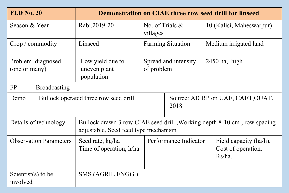| <b>FLD No. 20</b><br><b>Demonstration on CIAE three row seed drill for linseed</b> |                       |                                                                                                                 |                                    |  |                                                           |  |
|------------------------------------------------------------------------------------|-----------------------|-----------------------------------------------------------------------------------------------------------------|------------------------------------|--|-----------------------------------------------------------|--|
| Season & Year                                                                      |                       | Rabi, 2019-20                                                                                                   | No. of Trials $\&$<br>villages     |  | 10 (Kalisi, Maheswarpur)                                  |  |
| Crop / commodity                                                                   |                       | Linseed                                                                                                         | <b>Farming Situation</b>           |  | Medium irrigated land                                     |  |
| Problem diagnosed<br>(one or many)                                                 |                       | Low yield due to<br>uneven plant<br>population                                                                  | Spread and intensity<br>of problem |  | 2450 ha, high                                             |  |
| <b>FP</b>                                                                          | <b>Broadcasting</b>   |                                                                                                                 |                                    |  |                                                           |  |
| Demo                                                                               |                       | Bullock operated three row seed drill<br>Source: AICRP on UAE, CAET, OUAT,<br>2018                              |                                    |  |                                                           |  |
|                                                                                    | Details of technology | Bullock drawn 3 row CIAE seed drill, Working depth 8-10 cm, row spacing<br>adjustable, Seed feed type mechanism |                                    |  |                                                           |  |
| <b>Observation Parameters</b>                                                      |                       | Seed rate, kg/ha<br>Time of operation, h/ha                                                                     | Performance Indicator              |  | Field capacity (ha/h),<br>Cost of operation.<br>$Rs/ha$ , |  |
| Scientist(s) to be<br>involved                                                     |                       | SMS (AGRIL.ENGG.)                                                                                               |                                    |  |                                                           |  |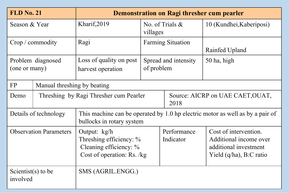| <b>FLD No. 21</b>                                                                                                                   |                                                                                                                          |                                                                                                 |                                  | Demonstration on Ragi thresher cum pearler |                                                                                                        |  |
|-------------------------------------------------------------------------------------------------------------------------------------|--------------------------------------------------------------------------------------------------------------------------|-------------------------------------------------------------------------------------------------|----------------------------------|--------------------------------------------|--------------------------------------------------------------------------------------------------------|--|
|                                                                                                                                     | Kharif, 2019<br>Season & Year<br>No. of Trials $\&$<br>villages                                                          |                                                                                                 | 10 (Kundhei, Kaberiposi)         |                                            |                                                                                                        |  |
| Crop / commodity                                                                                                                    |                                                                                                                          | Ragi                                                                                            | <b>Farming Situation</b>         |                                            | Rainfed Upland                                                                                         |  |
|                                                                                                                                     | Loss of quality on post<br>Problem diagnosed<br>Spread and intensity<br>of problem<br>(one or many)<br>harvest operation |                                                                                                 | 50 ha, high                      |                                            |                                                                                                        |  |
| <b>FP</b>                                                                                                                           | Manual threshing by beating                                                                                              |                                                                                                 |                                  |                                            |                                                                                                        |  |
| Demo                                                                                                                                |                                                                                                                          | Threshing by Ragi Thresher cum Pearler                                                          | Source: AICRP on UAE CAET, OUAT, |                                            |                                                                                                        |  |
| This machine can be operated by 1.0 hp electric motor as well as by a pair of<br>Details of technology<br>bullocks in rotary system |                                                                                                                          |                                                                                                 |                                  |                                            |                                                                                                        |  |
| <b>Observation Parameters</b>                                                                                                       |                                                                                                                          | Output: kg/h<br>Threshing efficiency: %<br>Cleaning efficiency: %<br>Cost of operation: Rs. /kg |                                  | Performance<br>Indicator                   | Cost of intervention.<br>Additional income over<br>additional investment<br>Yield $(q/ha)$ , B:C ratio |  |
| Scientist(s) to be<br>involved                                                                                                      |                                                                                                                          | SMS (AGRIL.ENGG.)                                                                               |                                  |                                            |                                                                                                        |  |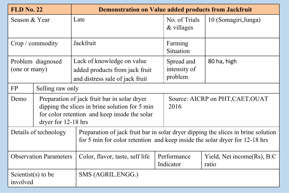| <b>FLD No. 22</b>                  |                               |                                                                                                                                                                  | <b>Demonstration on Value added products from Jackfruit</b> |                                         |  |  |
|------------------------------------|-------------------------------|------------------------------------------------------------------------------------------------------------------------------------------------------------------|-------------------------------------------------------------|-----------------------------------------|--|--|
| Season & Year                      |                               | Late                                                                                                                                                             | No. of Trials<br>$&$ villages                               | 10 (Somagiri, Junga)                    |  |  |
| Crop / commodity                   |                               | Jackfruit                                                                                                                                                        | Farming<br>Situation                                        |                                         |  |  |
| Problem diagnosed<br>(one or many) |                               | Lack of knowledge on value<br>added products from jack fruit<br>and distress sale of jack fruit                                                                  | Spread and<br>intensity of<br>problem                       | 80 ha, high                             |  |  |
| <b>FP</b>                          | Selling raw only              |                                                                                                                                                                  |                                                             |                                         |  |  |
| Demo                               | dryer for 12-18 hrs           | Preparation of jack fruit bar in solar dryer<br>dipping the slices in brine solution for 5 min<br>for color retention and keep inside the solar                  | 2016                                                        | Source: AICRP on PHT, CAET, OUAT        |  |  |
| Details of technology              |                               | Preparation of jack fruit bar in solar dryer dipping the slices in brine solution<br>for 5 min for color retention and keep inside the solar dryer for 12-18 hrs |                                                             |                                         |  |  |
|                                    | <b>Observation Parameters</b> | Color, flavor, taste, self life                                                                                                                                  | Performance<br>Indicator                                    | Yield, Net income $(Rs)$ , B:C<br>ratio |  |  |
| Scientist(s) to be<br>involved     |                               | SMS (AGRIL.ENGG.)                                                                                                                                                |                                                             |                                         |  |  |